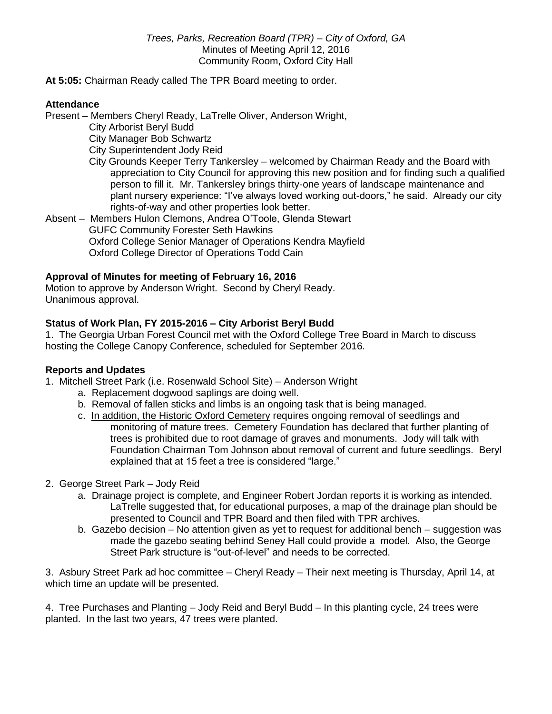*Trees, Parks, Recreation Board (TPR) – City of Oxford, GA* Minutes of Meeting April 12, 2016 Community Room, Oxford City Hall

**At 5:05:** Chairman Ready called The TPR Board meeting to order.

#### **Attendance**

Present – Members Cheryl Ready, LaTrelle Oliver, Anderson Wright,

City Arborist Beryl Budd

City Manager Bob Schwartz

- City Superintendent Jody Reid
- City Grounds Keeper Terry Tankersley welcomed by Chairman Ready and the Board with appreciation to City Council for approving this new position and for finding such a qualified person to fill it. Mr. Tankersley brings thirty-one years of landscape maintenance and plant nursery experience: "I've always loved working out-doors," he said. Already our city rights-of-way and other properties look better.

Absent – Members Hulon Clemons, Andrea O'Toole, Glenda Stewart GUFC Community Forester Seth Hawkins Oxford College Senior Manager of Operations Kendra Mayfield Oxford College Director of Operations Todd Cain

### **Approval of Minutes for meeting of February 16, 2016**

Motion to approve by Anderson Wright. Second by Cheryl Ready. Unanimous approval.

### **Status of Work Plan, FY 2015-2016 – City Arborist Beryl Budd**

1. The Georgia Urban Forest Council met with the Oxford College Tree Board in March to discuss hosting the College Canopy Conference, scheduled for September 2016.

### **Reports and Updates**

- 1. Mitchell Street Park (i.e. Rosenwald School Site) Anderson Wright
	- a. Replacement dogwood saplings are doing well.
	- b. Removal of fallen sticks and limbs is an ongoing task that is being managed.
	- c. In addition, the Historic Oxford Cemetery requires ongoing removal of seedlings and monitoring of mature trees. Cemetery Foundation has declared that further planting of trees is prohibited due to root damage of graves and monuments. Jody will talk with Foundation Chairman Tom Johnson about removal of current and future seedlings. Beryl explained that at 15 feet a tree is considered "large."

#### 2. George Street Park – Jody Reid

- a. Drainage project is complete, and Engineer Robert Jordan reports it is working as intended. LaTrelle suggested that, for educational purposes, a map of the drainage plan should be presented to Council and TPR Board and then filed with TPR archives.
- b. Gazebo decision No attention given as yet to request for additional bench suggestion was made the gazebo seating behind Seney Hall could provide a model. Also, the George Street Park structure is "out-of-level" and needs to be corrected.

3. Asbury Street Park ad hoc committee – Cheryl Ready – Their next meeting is Thursday, April 14, at which time an update will be presented.

4. Tree Purchases and Planting – Jody Reid and Beryl Budd – In this planting cycle, 24 trees were planted. In the last two years, 47 trees were planted.